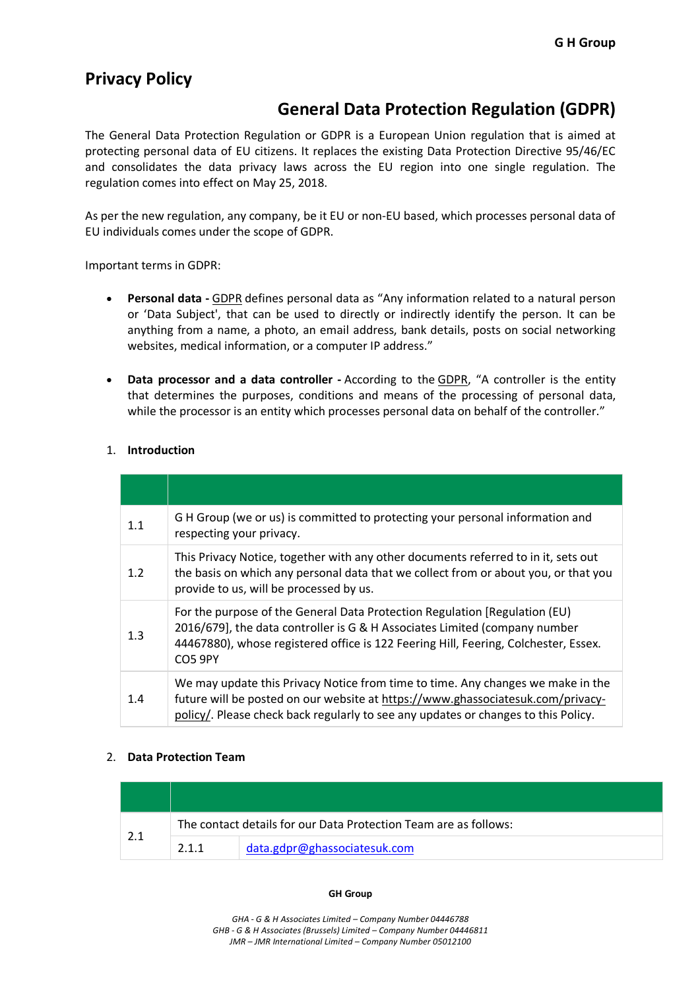# **Privacy Policy**

# **General Data Protection Regulation (GDPR)**

The General Data Protection Regulation or GDPR is a European Union regulation that is aimed at protecting personal data of EU citizens. It replaces the existing Data Protection Directive 95/46/EC and consolidates the data privacy laws across the EU region into one single regulation. The regulation comes into effect on May 25, 2018.

As per the new regulation, any company, be it EU or non-EU based, which processes personal data of EU individuals comes under the scope of GDPR.

Important terms in GDPR:

- **Personal data -** GDPR defines personal data as "Any information related to a natural person or 'Data Subject', that can be used to directly or indirectly identify the person. It can be anything from a name, a photo, an email address, bank details, posts on social networking websites, medical information, or a computer IP address."
- **Data processor and a data controller -** According to the GDPR, "A controller is the entity that determines the purposes, conditions and means of the processing of personal data, while the processor is an entity which processes personal data on behalf of the controller."

# 1. **Introduction**

| 1.1 | G H Group (we or us) is committed to protecting your personal information and<br>respecting your privacy.                                                                                                                                                         |
|-----|-------------------------------------------------------------------------------------------------------------------------------------------------------------------------------------------------------------------------------------------------------------------|
| 1.2 | This Privacy Notice, together with any other documents referred to in it, sets out<br>the basis on which any personal data that we collect from or about you, or that you<br>provide to us, will be processed by us.                                              |
| 1.3 | For the purpose of the General Data Protection Regulation [Regulation (EU)<br>2016/679], the data controller is G & H Associates Limited (company number<br>44467880), whose registered office is 122 Feering Hill, Feering, Colchester, Essex.<br><b>CO5 9PY</b> |
| 1.4 | We may update this Privacy Notice from time to time. Any changes we make in the<br>future will be posted on our website at https://www.ghassociatesuk.com/privacy-<br>policy/. Please check back regularly to see any updates or changes to this Policy.          |

## 2. **Data Protection Team**

| 2.1 | The contact details for our Data Protection Team are as follows: |                              |  |
|-----|------------------------------------------------------------------|------------------------------|--|
|     | 2.1.1                                                            | data.gdpr@ghassociatesuk.com |  |

#### **GH Group**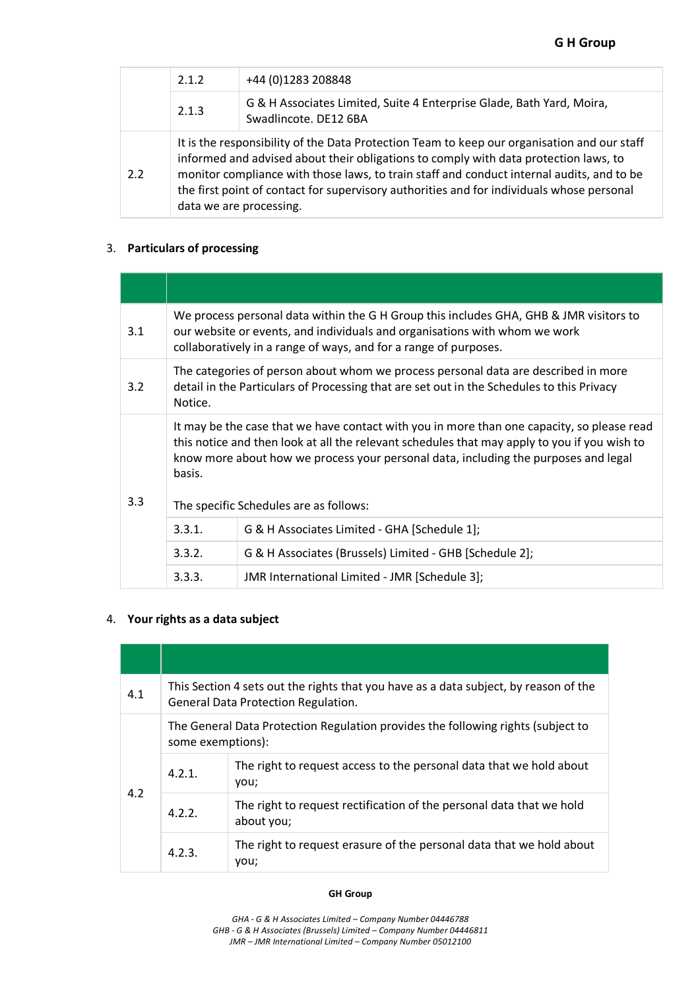|     | 2.1.2                                                                                                                                                                                                                                                                                                                                                                                                    | +44 (0)1283 208848                                                                             |  |  |  |  |
|-----|----------------------------------------------------------------------------------------------------------------------------------------------------------------------------------------------------------------------------------------------------------------------------------------------------------------------------------------------------------------------------------------------------------|------------------------------------------------------------------------------------------------|--|--|--|--|
|     | 2.1.3                                                                                                                                                                                                                                                                                                                                                                                                    | G & H Associates Limited, Suite 4 Enterprise Glade, Bath Yard, Moira,<br>Swadlincote. DE12 6BA |  |  |  |  |
| 2.2 | It is the responsibility of the Data Protection Team to keep our organisation and our staff<br>informed and advised about their obligations to comply with data protection laws, to<br>monitor compliance with those laws, to train staff and conduct internal audits, and to be<br>the first point of contact for supervisory authorities and for individuals whose personal<br>data we are processing. |                                                                                                |  |  |  |  |

# 3. **Particulars of processing**

| 3.1 | We process personal data within the G H Group this includes GHA, GHB & JMR visitors to<br>our website or events, and individuals and organisations with whom we work<br>collaboratively in a range of ways, and for a range of purposes.                                                                                              |                                                         |  |  |  |
|-----|---------------------------------------------------------------------------------------------------------------------------------------------------------------------------------------------------------------------------------------------------------------------------------------------------------------------------------------|---------------------------------------------------------|--|--|--|
| 3.2 | The categories of person about whom we process personal data are described in more<br>detail in the Particulars of Processing that are set out in the Schedules to this Privacy<br>Notice.                                                                                                                                            |                                                         |  |  |  |
| 3.3 | It may be the case that we have contact with you in more than one capacity, so please read<br>this notice and then look at all the relevant schedules that may apply to you if you wish to<br>know more about how we process your personal data, including the purposes and legal<br>basis.<br>The specific Schedules are as follows: |                                                         |  |  |  |
|     | 3.3.1.                                                                                                                                                                                                                                                                                                                                | G & H Associates Limited - GHA [Schedule 1];            |  |  |  |
|     | 3.3.2.                                                                                                                                                                                                                                                                                                                                | G & H Associates (Brussels) Limited - GHB [Schedule 2]; |  |  |  |
|     | 3.3.3.<br>JMR International Limited - JMR [Schedule 3];                                                                                                                                                                                                                                                                               |                                                         |  |  |  |

# 4. **Your rights as a data subject**

| 4.1 | This Section 4 sets out the rights that you have as a data subject, by reason of the<br><b>General Data Protection Regulation.</b> |                                                                                    |  |  |
|-----|------------------------------------------------------------------------------------------------------------------------------------|------------------------------------------------------------------------------------|--|--|
| 4.2 | The General Data Protection Regulation provides the following rights (subject to<br>some exemptions):                              |                                                                                    |  |  |
|     | 4.2.1.                                                                                                                             | The right to request access to the personal data that we hold about<br>you;        |  |  |
|     | 4.2.2.                                                                                                                             | The right to request rectification of the personal data that we hold<br>about you; |  |  |
|     | 4.2.3.                                                                                                                             | The right to request erasure of the personal data that we hold about<br>you;       |  |  |

#### **GH Group**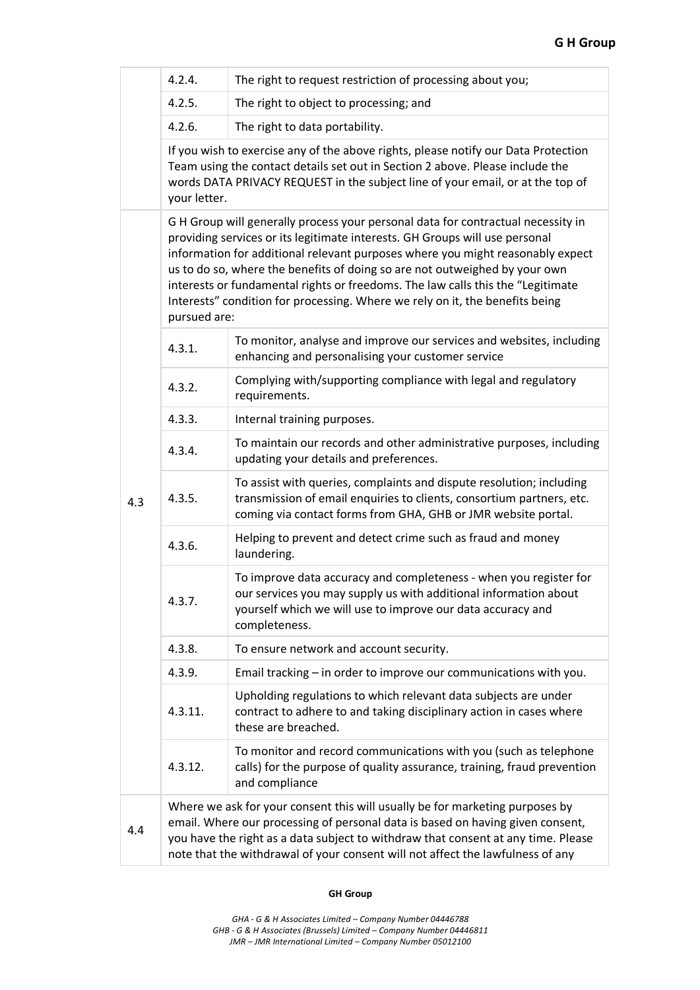|     | 4.2.4.                                                                                                                                                                                                                                                                                                                                                                                                                                                                                                            | The right to request restriction of processing about you;                                                                                                                                                             |  |  |  |  |  |
|-----|-------------------------------------------------------------------------------------------------------------------------------------------------------------------------------------------------------------------------------------------------------------------------------------------------------------------------------------------------------------------------------------------------------------------------------------------------------------------------------------------------------------------|-----------------------------------------------------------------------------------------------------------------------------------------------------------------------------------------------------------------------|--|--|--|--|--|
|     | 4.2.5.                                                                                                                                                                                                                                                                                                                                                                                                                                                                                                            | The right to object to processing; and                                                                                                                                                                                |  |  |  |  |  |
|     | 4.2.6.                                                                                                                                                                                                                                                                                                                                                                                                                                                                                                            | The right to data portability.                                                                                                                                                                                        |  |  |  |  |  |
|     | If you wish to exercise any of the above rights, please notify our Data Protection<br>Team using the contact details set out in Section 2 above. Please include the<br>words DATA PRIVACY REQUEST in the subject line of your email, or at the top of<br>your letter.                                                                                                                                                                                                                                             |                                                                                                                                                                                                                       |  |  |  |  |  |
|     | GH Group will generally process your personal data for contractual necessity in<br>providing services or its legitimate interests. GH Groups will use personal<br>information for additional relevant purposes where you might reasonably expect<br>us to do so, where the benefits of doing so are not outweighed by your own<br>interests or fundamental rights or freedoms. The law calls this the "Legitimate<br>Interests" condition for processing. Where we rely on it, the benefits being<br>pursued are: |                                                                                                                                                                                                                       |  |  |  |  |  |
|     | 4.3.1.                                                                                                                                                                                                                                                                                                                                                                                                                                                                                                            | To monitor, analyse and improve our services and websites, including<br>enhancing and personalising your customer service                                                                                             |  |  |  |  |  |
|     | 4.3.2.                                                                                                                                                                                                                                                                                                                                                                                                                                                                                                            | Complying with/supporting compliance with legal and regulatory<br>requirements.                                                                                                                                       |  |  |  |  |  |
|     | 4.3.3.                                                                                                                                                                                                                                                                                                                                                                                                                                                                                                            | Internal training purposes.                                                                                                                                                                                           |  |  |  |  |  |
| 4.3 | 4.3.4.                                                                                                                                                                                                                                                                                                                                                                                                                                                                                                            | To maintain our records and other administrative purposes, including<br>updating your details and preferences.                                                                                                        |  |  |  |  |  |
|     | 4.3.5.                                                                                                                                                                                                                                                                                                                                                                                                                                                                                                            | To assist with queries, complaints and dispute resolution; including<br>transmission of email enquiries to clients, consortium partners, etc.<br>coming via contact forms from GHA, GHB or JMR website portal.        |  |  |  |  |  |
|     | 4.3.6.                                                                                                                                                                                                                                                                                                                                                                                                                                                                                                            | Helping to prevent and detect crime such as fraud and money<br>laundering.                                                                                                                                            |  |  |  |  |  |
|     | 4.3.7.                                                                                                                                                                                                                                                                                                                                                                                                                                                                                                            | To improve data accuracy and completeness - when you register for<br>our services you may supply us with additional information about<br>yourself which we will use to improve our data accuracy and<br>completeness. |  |  |  |  |  |
|     | 4.3.8.                                                                                                                                                                                                                                                                                                                                                                                                                                                                                                            | To ensure network and account security.                                                                                                                                                                               |  |  |  |  |  |
|     | 4.3.9.                                                                                                                                                                                                                                                                                                                                                                                                                                                                                                            | Email tracking - in order to improve our communications with you.                                                                                                                                                     |  |  |  |  |  |
|     | 4.3.11.                                                                                                                                                                                                                                                                                                                                                                                                                                                                                                           | Upholding regulations to which relevant data subjects are under<br>contract to adhere to and taking disciplinary action in cases where<br>these are breached.                                                         |  |  |  |  |  |
|     | 4.3.12.                                                                                                                                                                                                                                                                                                                                                                                                                                                                                                           | To monitor and record communications with you (such as telephone<br>calls) for the purpose of quality assurance, training, fraud prevention<br>and compliance                                                         |  |  |  |  |  |
| 4.4 | Where we ask for your consent this will usually be for marketing purposes by<br>email. Where our processing of personal data is based on having given consent,<br>you have the right as a data subject to withdraw that consent at any time. Please<br>note that the withdrawal of your consent will not affect the lawfulness of any                                                                                                                                                                             |                                                                                                                                                                                                                       |  |  |  |  |  |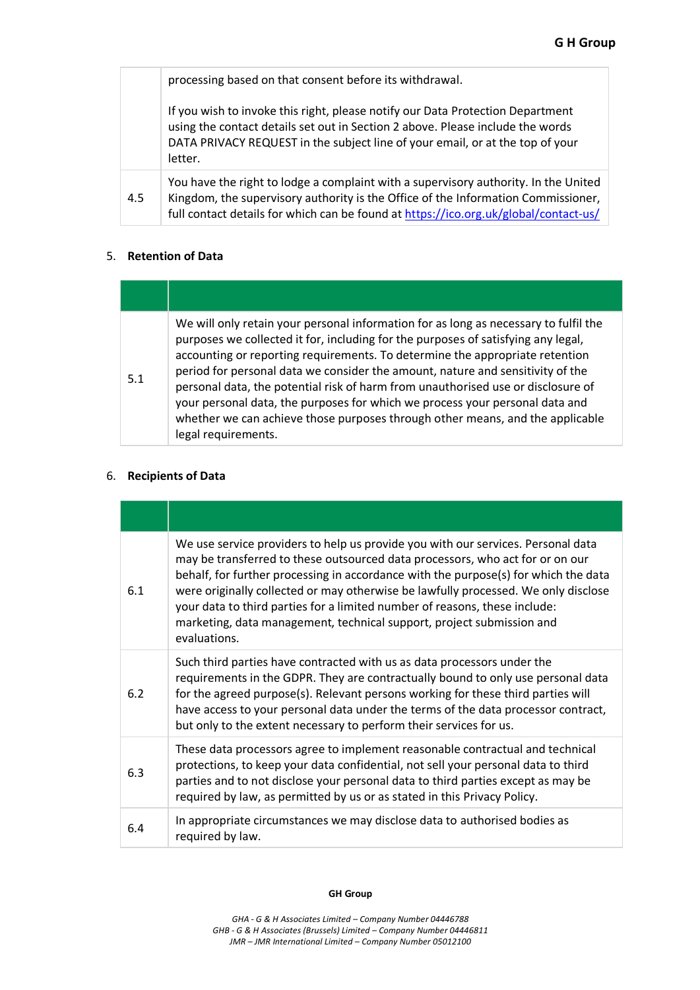|  | processing based on that consent before its withdrawal. |
|--|---------------------------------------------------------|
|--|---------------------------------------------------------|

If you wish to invoke this right, please notify our Data Protection Department using the contact details set out in Section 2 above. Please include the words DATA PRIVACY REQUEST in the subject line of your email, or at the top of your letter.

4.5 You have the right to lodge a complaint with a supervisory authority. In the United Kingdom, the supervisory authority is the Office of the Information Commissioner, full contact details for which can be found at https://ico.org.uk/global/contact-us/

## 5. **Retention of Data**

| 5.1 | We will only retain your personal information for as long as necessary to fulfil the<br>purposes we collected it for, including for the purposes of satisfying any legal,<br>accounting or reporting requirements. To determine the appropriate retention<br>period for personal data we consider the amount, nature and sensitivity of the<br>personal data, the potential risk of harm from unauthorised use or disclosure of<br>your personal data, the purposes for which we process your personal data and<br>whether we can achieve those purposes through other means, and the applicable<br>legal requirements. |
|-----|-------------------------------------------------------------------------------------------------------------------------------------------------------------------------------------------------------------------------------------------------------------------------------------------------------------------------------------------------------------------------------------------------------------------------------------------------------------------------------------------------------------------------------------------------------------------------------------------------------------------------|

## 6. **Recipients of Data**

| 6.1 | We use service providers to help us provide you with our services. Personal data<br>may be transferred to these outsourced data processors, who act for or on our<br>behalf, for further processing in accordance with the purpose(s) for which the data<br>were originally collected or may otherwise be lawfully processed. We only disclose<br>your data to third parties for a limited number of reasons, these include:<br>marketing, data management, technical support, project submission and<br>evaluations. |
|-----|-----------------------------------------------------------------------------------------------------------------------------------------------------------------------------------------------------------------------------------------------------------------------------------------------------------------------------------------------------------------------------------------------------------------------------------------------------------------------------------------------------------------------|
| 6.2 | Such third parties have contracted with us as data processors under the<br>requirements in the GDPR. They are contractually bound to only use personal data<br>for the agreed purpose(s). Relevant persons working for these third parties will<br>have access to your personal data under the terms of the data processor contract,<br>but only to the extent necessary to perform their services for us.                                                                                                            |
| 6.3 | These data processors agree to implement reasonable contractual and technical<br>protections, to keep your data confidential, not sell your personal data to third<br>parties and to not disclose your personal data to third parties except as may be<br>required by law, as permitted by us or as stated in this Privacy Policy.                                                                                                                                                                                    |
| 6.4 | In appropriate circumstances we may disclose data to authorised bodies as<br>required by law.                                                                                                                                                                                                                                                                                                                                                                                                                         |

#### **GH Group**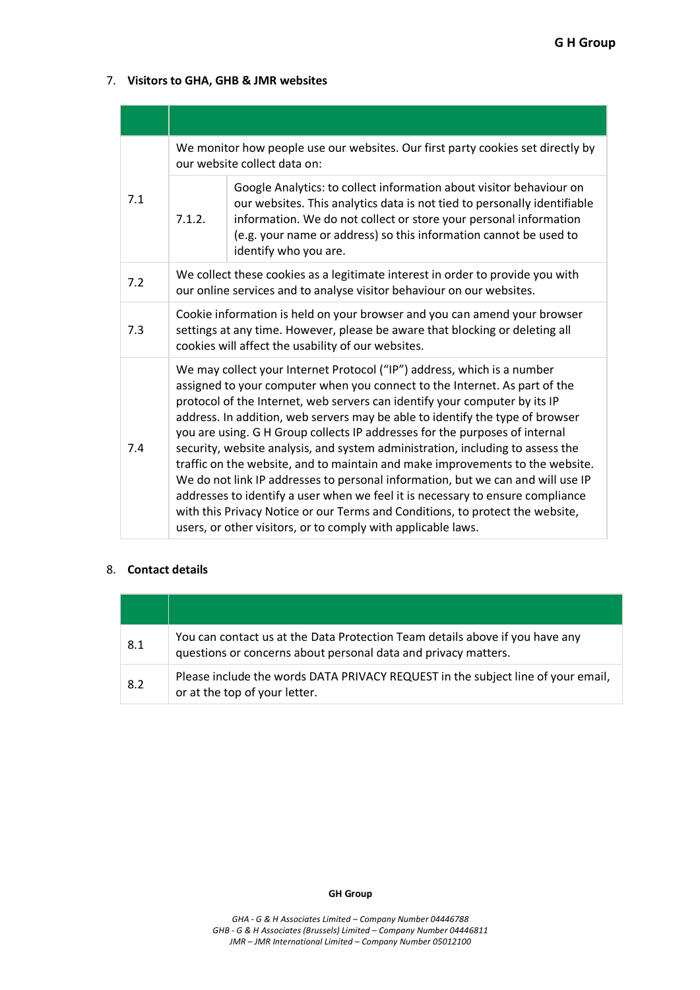# 7. **Visitors to GHA, GHB & JMR websites**

| 7.1 | We monitor how people use our websites. Our first party cookies set directly by<br>our website collect data on:                                                                                                                                                                                                                                                                                                                                                                                                                                                                                                                                                                                                                                                                                                                                                                              |                                                                                                                                                                                                                                                                                                                    |  |  |
|-----|----------------------------------------------------------------------------------------------------------------------------------------------------------------------------------------------------------------------------------------------------------------------------------------------------------------------------------------------------------------------------------------------------------------------------------------------------------------------------------------------------------------------------------------------------------------------------------------------------------------------------------------------------------------------------------------------------------------------------------------------------------------------------------------------------------------------------------------------------------------------------------------------|--------------------------------------------------------------------------------------------------------------------------------------------------------------------------------------------------------------------------------------------------------------------------------------------------------------------|--|--|
|     | 7.1.2.                                                                                                                                                                                                                                                                                                                                                                                                                                                                                                                                                                                                                                                                                                                                                                                                                                                                                       | Google Analytics: to collect information about visitor behaviour on<br>our websites. This analytics data is not tied to personally identifiable<br>information. We do not collect or store your personal information<br>(e.g. your name or address) so this information cannot be used to<br>identify who you are. |  |  |
| 7.2 | We collect these cookies as a legitimate interest in order to provide you with<br>our online services and to analyse visitor behaviour on our websites.                                                                                                                                                                                                                                                                                                                                                                                                                                                                                                                                                                                                                                                                                                                                      |                                                                                                                                                                                                                                                                                                                    |  |  |
| 7.3 | Cookie information is held on your browser and you can amend your browser<br>settings at any time. However, please be aware that blocking or deleting all<br>cookies will affect the usability of our websites.                                                                                                                                                                                                                                                                                                                                                                                                                                                                                                                                                                                                                                                                              |                                                                                                                                                                                                                                                                                                                    |  |  |
| 7.4 | We may collect your Internet Protocol ("IP") address, which is a number<br>assigned to your computer when you connect to the Internet. As part of the<br>protocol of the Internet, web servers can identify your computer by its IP<br>address. In addition, web servers may be able to identify the type of browser<br>you are using. G H Group collects IP addresses for the purposes of internal<br>security, website analysis, and system administration, including to assess the<br>traffic on the website, and to maintain and make improvements to the website.<br>We do not link IP addresses to personal information, but we can and will use IP<br>addresses to identify a user when we feel it is necessary to ensure compliance<br>with this Privacy Notice or our Terms and Conditions, to protect the website,<br>users, or other visitors, or to comply with applicable laws. |                                                                                                                                                                                                                                                                                                                    |  |  |

# 8. **Contact details**

| 8.1 | You can contact us at the Data Protection Team details above if you have any<br>questions or concerns about personal data and privacy matters. |
|-----|------------------------------------------------------------------------------------------------------------------------------------------------|
| 8.2 | Please include the words DATA PRIVACY REQUEST in the subject line of your email,<br>or at the top of your letter.                              |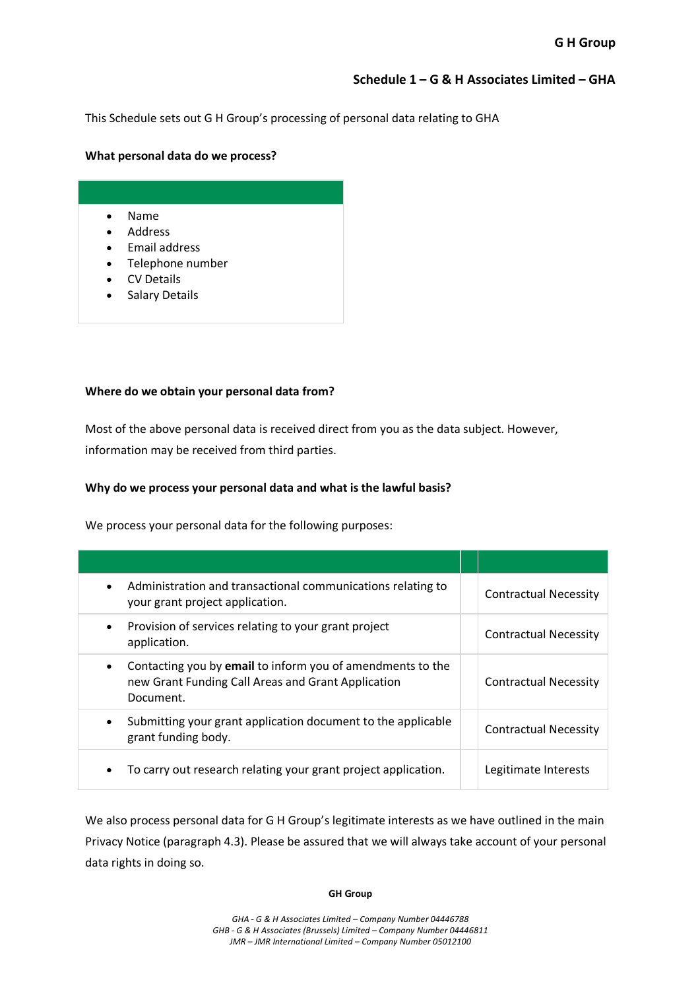# **Schedule 1 – G & H Associates Limited – GHA**

This Schedule sets out G H Group's processing of personal data relating to GHA

### **What personal data do we process?**

# • Name

- Address
- Email address
- Telephone number
- CV Details
- Salary Details

## **Where do we obtain your personal data from?**

Most of the above personal data is received direct from you as the data subject. However, information may be received from third parties.

#### **Why do we process your personal data and what is the lawful basis?**

We process your personal data for the following purposes:

| Administration and transactional communications relating to<br>$\bullet$<br>your grant project application.                               | <b>Contractual Necessity</b> |
|-------------------------------------------------------------------------------------------------------------------------------------------|------------------------------|
| Provision of services relating to your grant project<br>٠<br>application.                                                                 | <b>Contractual Necessity</b> |
| Contacting you by <b>email</b> to inform you of amendments to the<br>٠<br>new Grant Funding Call Areas and Grant Application<br>Document. | <b>Contractual Necessity</b> |
| Submitting your grant application document to the applicable<br>grant funding body.                                                       | <b>Contractual Necessity</b> |
| To carry out research relating your grant project application.                                                                            | Legitimate Interests         |

We also process personal data for G H Group's legitimate interests as we have outlined in the main Privacy Notice (paragraph 4.3). Please be assured that we will always take account of your personal data rights in doing so.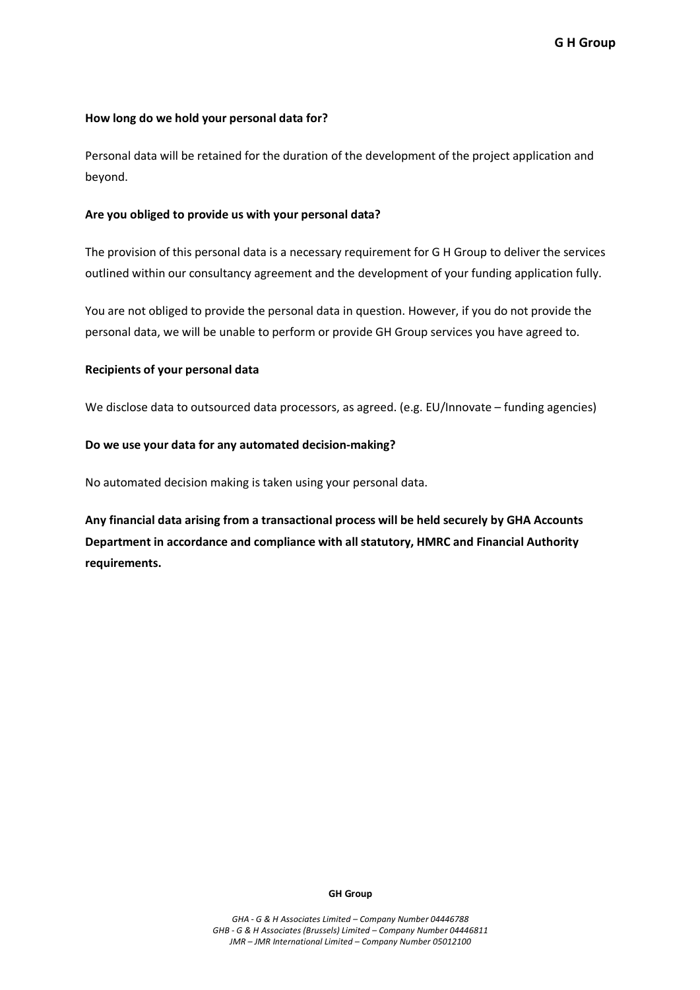### **How long do we hold your personal data for?**

Personal data will be retained for the duration of the development of the project application and beyond.

#### **Are you obliged to provide us with your personal data?**

The provision of this personal data is a necessary requirement for G H Group to deliver the services outlined within our consultancy agreement and the development of your funding application fully.

You are not obliged to provide the personal data in question. However, if you do not provide the personal data, we will be unable to perform or provide GH Group services you have agreed to.

#### **Recipients of your personal data**

We disclose data to outsourced data processors, as agreed. (e.g. EU/Innovate – funding agencies)

#### **Do we use your data for any automated decision-making?**

No automated decision making is taken using your personal data.

**Any financial data arising from a transactional process will be held securely by GHA Accounts Department in accordance and compliance with all statutory, HMRC and Financial Authority requirements.**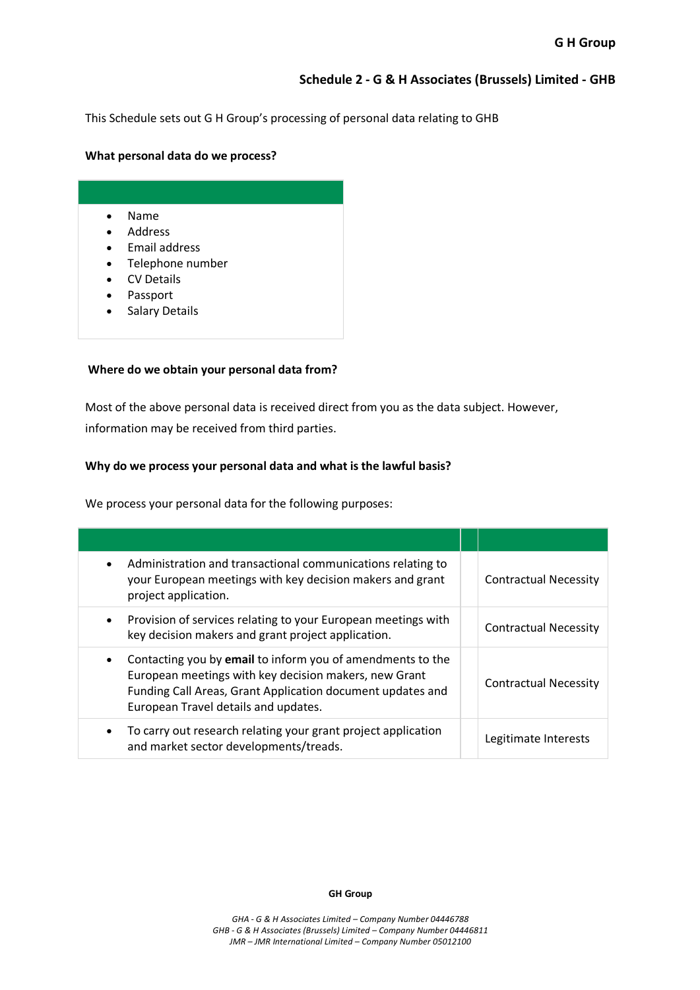# **Schedule 2 - G & H Associates (Brussels) Limited - GHB**

This Schedule sets out G H Group's processing of personal data relating to GHB

#### **What personal data do we process?**

| Name |
|------|
|------|

- Address
- Email address
- Telephone number
- CV Details
- Passport
- Salary Details

## **Where do we obtain your personal data from?**

Most of the above personal data is received direct from you as the data subject. However, information may be received from third parties.

## **Why do we process your personal data and what is the lawful basis?**

We process your personal data for the following purposes:

| Administration and transactional communications relating to<br>your European meetings with key decision makers and grant<br>project application.                                                                          | <b>Contractual Necessity</b> |
|---------------------------------------------------------------------------------------------------------------------------------------------------------------------------------------------------------------------------|------------------------------|
| Provision of services relating to your European meetings with<br>key decision makers and grant project application.                                                                                                       | <b>Contractual Necessity</b> |
| Contacting you by email to inform you of amendments to the<br>European meetings with key decision makers, new Grant<br>Funding Call Areas, Grant Application document updates and<br>European Travel details and updates. | <b>Contractual Necessity</b> |
| To carry out research relating your grant project application<br>and market sector developments/treads.                                                                                                                   | Legitimate Interests         |

#### **GH Group**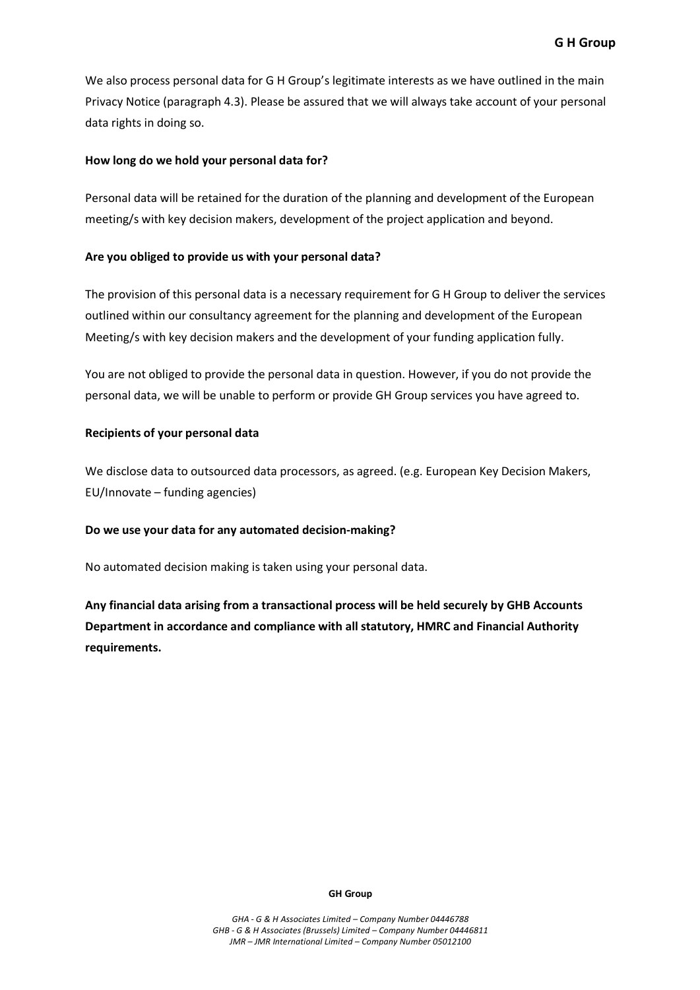We also process personal data for G H Group's legitimate interests as we have outlined in the main Privacy Notice (paragraph 4.3). Please be assured that we will always take account of your personal data rights in doing so.

#### **How long do we hold your personal data for?**

Personal data will be retained for the duration of the planning and development of the European meeting/s with key decision makers, development of the project application and beyond.

#### **Are you obliged to provide us with your personal data?**

The provision of this personal data is a necessary requirement for G H Group to deliver the services outlined within our consultancy agreement for the planning and development of the European Meeting/s with key decision makers and the development of your funding application fully.

You are not obliged to provide the personal data in question. However, if you do not provide the personal data, we will be unable to perform or provide GH Group services you have agreed to.

#### **Recipients of your personal data**

We disclose data to outsourced data processors, as agreed. (e.g. European Key Decision Makers, EU/Innovate – funding agencies)

#### **Do we use your data for any automated decision-making?**

No automated decision making is taken using your personal data.

**Any financial data arising from a transactional process will be held securely by GHB Accounts Department in accordance and compliance with all statutory, HMRC and Financial Authority requirements.**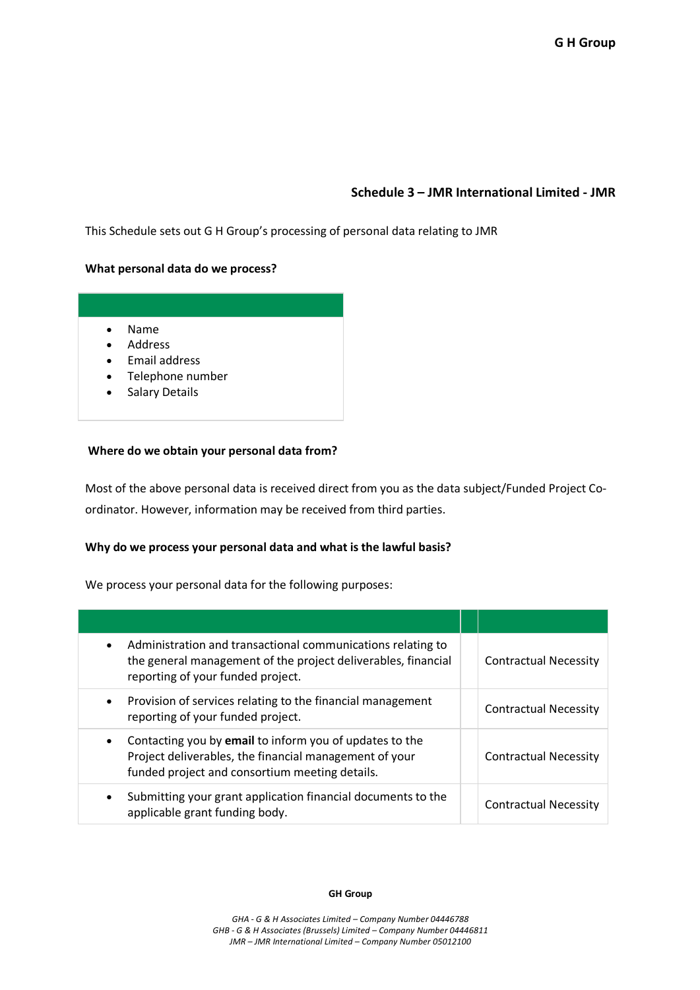# **Schedule 3 – JMR International Limited - JMR**

This Schedule sets out G H Group's processing of personal data relating to JMR

#### **What personal data do we process?**



## **Where do we obtain your personal data from?**

Most of the above personal data is received direct from you as the data subject/Funded Project Coordinator. However, information may be received from third parties.

## **Why do we process your personal data and what is the lawful basis?**

We process your personal data for the following purposes:

| Administration and transactional communications relating to<br>$\bullet$<br>the general management of the project deliverables, financial<br>reporting of your funded project.   | <b>Contractual Necessity</b> |
|----------------------------------------------------------------------------------------------------------------------------------------------------------------------------------|------------------------------|
| Provision of services relating to the financial management<br>$\bullet$<br>reporting of your funded project.                                                                     | <b>Contractual Necessity</b> |
| Contacting you by email to inform you of updates to the<br>$\bullet$<br>Project deliverables, the financial management of your<br>funded project and consortium meeting details. | <b>Contractual Necessity</b> |
| Submitting your grant application financial documents to the<br>$\bullet$<br>applicable grant funding body.                                                                      | <b>Contractual Necessity</b> |